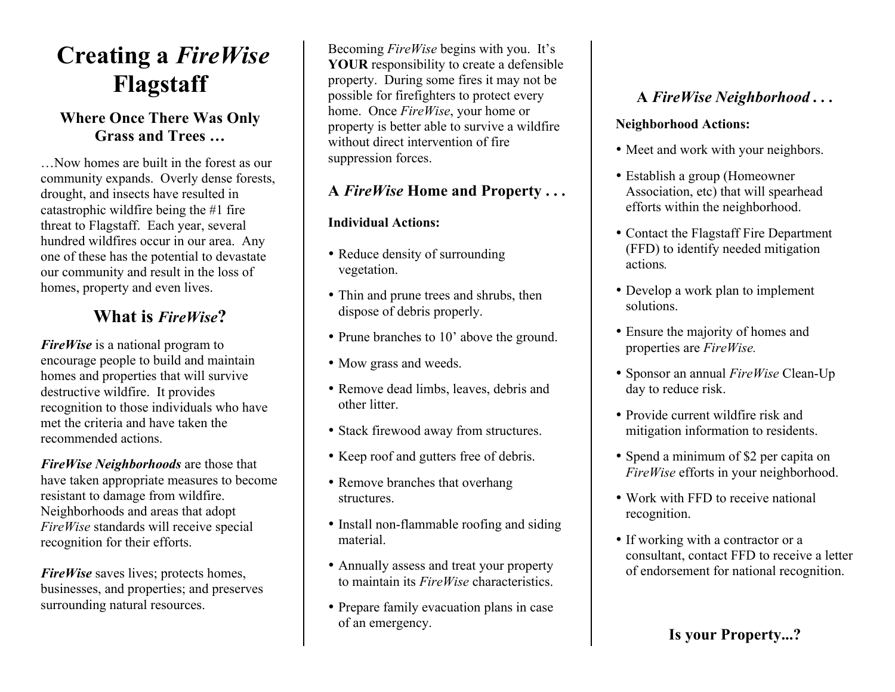# **Creating a** *FireWise* **Flagstaff**

### **Where Once There Was Only Grass and Trees …**

…Now homes are built in the forest as our community expands. Overly dense forests, drought, and insects have resulted in catastrophic wildfire being the #1 fire threat to Flagstaff. Each year, several hundred wildfires occur in our area. Any one of these has the potential to devastate our community and result in the loss of homes, property and even lives.

## **What is** *FireWise***?**

*FireWise* is a national program to encourage people to build and maintain homes and properties that will survive destructive wildfire. It provides recognition to those individuals who have met the criteria and have taken the recommended actions.

*FireWise Neighborhoods* are those that have taken appropriate measures to become resistant to damage from wildfire. Neighborhoods and areas that adopt *FireWise* standards will receive special recognition for their efforts.

*FireWise* saves lives; protects homes, businesses, and properties; and preserves surrounding natural resources.

Becoming *FireWise* begins with you. It's **YOUR** responsibility to create a defensible property. During some fires it may not be possible for firefighters to protect every home. Once *FireWise*, your home or property is better able to survive a wildfire without direct intervention of fire suppression forces.

## **A** *FireWise* **Home and Property . . .**

#### **Individual Actions:**

- Reduce density of surrounding vegetation.
- Thin and prune trees and shrubs, then dispose of debris properly.
- Prune branches to 10' above the ground.
- Mow grass and weeds.
- Remove dead limbs, leaves, debris and other litter.
- Stack firewood away from structures.
- Keep roof and gutters free of debris.
- Remove branches that overhang structures.
- Install non-flammable roofing and siding material.
- Annually assess and treat your property to maintain its *FireWise* characteristics.
- Prepare family evacuation plans in case of an emergency.

# **A** *FireWise Neighborhood . . .*

#### **Neighborhood Actions:**

- Meet and work with your neighbors.
- Establish a group (Homeowner Association, etc) that will spearhead efforts within the neighborhood.
- Contact the Flagstaff Fire Department (FFD) to identify needed mitigation actions*.*
- Develop a work plan to implement solutions.
- Ensure the majority of homes and properties are *FireWise.*
- Sponsor an annual *FireWise* Clean-Up day to reduce risk.
- Provide current wildfire risk and mitigation information to residents.
- Spend a minimum of \$2 per capita on *FireWise* efforts in your neighborhood.
- Work with FFD to receive national recognition.
- If working with a contractor or a consultant, contact FFD to receive a letter of endorsement for national recognition.

# **Is your Property...?**